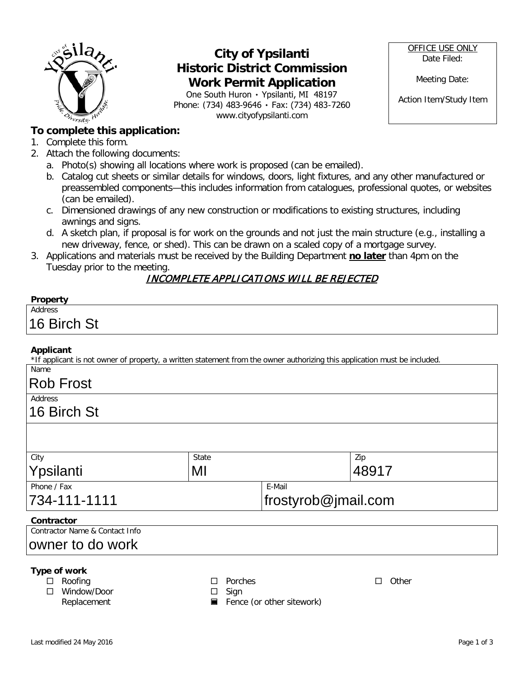

## **City of Ypsilanti Historic District Commission Work Permit Application**

One South Huron ۰ Ypsilanti, MI 48197 Phone: (734) 483-9646 ۰ Fax: (734) 483-7260 www.cityofypsilanti.com

OFFICE USE ONLY Date Filed:

Meeting Date:

Action Item/Study Item

### **To complete this application:**

- 1. Complete this form.
- 2. Attach the following documents:
	- a. Photo(s) showing all locations where work is proposed (can be emailed).
	- b. Catalog cut sheets or similar details for windows, doors, light fixtures, and any other manufactured or preassembled components—this includes information from catalogues, professional quotes, or websites (can be emailed).
	- c. Dimensioned drawings of any new construction or modifications to existing structures, including awnings and signs.
	- d. A sketch plan, if proposal is for work on the grounds and not just the main structure (e.g., installing a new driveway, fence, or shed). This can be drawn on a scaled copy of a mortgage survey.
- 3. Applications and materials must be received by the Building Department **no later** than 4pm on the Tuesday prior to the meeting.

### INCOMPLETE APPLICATIONS WILL BE REJECTED

| Property    |  |
|-------------|--|
| Address     |  |
| 16 Birch St |  |

#### **Applicant**

\*If applicant is not owner of property, a written statement from the owner authorizing this application must be included.

## Name

## Rob Frost

Address

### 16 Birch St

| City         | State |                             | Zip   |
|--------------|-------|-----------------------------|-------|
| Ypsilanti    | MI    |                             | 48917 |
| Phone / Fax  |       | E-Mail                      |       |
| 734-111-1111 |       | $ f$ rostyrob $@$ imail.com |       |

#### **Contractor**

Contractor Name & Contact Info

### owner to do work

#### **Type of work**

□ Roofing

□ Window/Door Replacement

□ Porches

□ Other

 $\square$  Sign

 $\blacksquare$  Fence (or other sitework)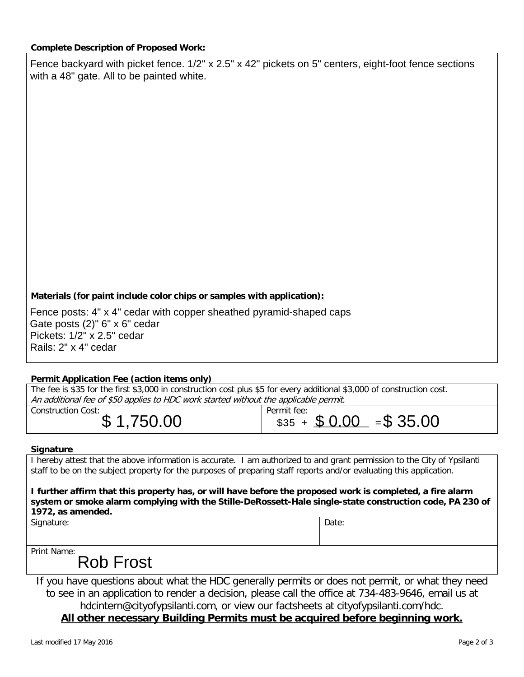Fence backyard with picket fence. 1/2" x 2.5" x 42" pickets on 5" centers, eight-foot fence sections with a 48" gate. All to be painted white.

#### **Materials (for paint include color chips or samples with application):**

Fence posts: 4" x 4" cedar with copper sheathed pyramid-shaped caps Gate posts (2)" 6" x 6" cedar Pickets: 1/2" x 2.5" cedar Rails: 2" x 4" cedar

#### **Permit Application Fee (action items only)**

| The fee is \$35 for the first \$3,000 in construction cost plus \$5 for every additional \$3,000 of construction cost. |                                                     |  |  |  |  |
|------------------------------------------------------------------------------------------------------------------------|-----------------------------------------------------|--|--|--|--|
| An additional fee of \$50 applies to HDC work started without the applicable permit.                                   |                                                     |  |  |  |  |
| Construction Cost:<br>\$1,750.00                                                                                       | Permit fee:<br>$\frac{1}{235}$ + \$ 0.00 = \$ 35.00 |  |  |  |  |
| <b>Cianoturo</b>                                                                                                       |                                                     |  |  |  |  |

#### **Signature**

I hereby attest that the above information is accurate. I am authorized to and grant permission to the City of Ypsilanti staff to be on the subject property for the purposes of preparing staff reports and/or evaluating this application.

**I further affirm that this property has, or will have before the proposed work is completed, a fire alarm system or smoke alarm complying with the Stille-DeRossett-Hale single-state construction code, PA 230 of 1972, as amended.**

Signature: Date: Date: Date: Date: Date: Date: Date: Date: Date: Date: Date: Date: Date: Date: Date: Date: Date: Date: Date: Date: Date: Date: Date: Date: Date: Date: Date: Date: Date: Date: Date: Date: Date: Date: Date: D

Print Name:

## Rob Frost

If you have questions about what the HDC generally permits or does not permit, or what they need to see in an application to render a decision, please call the office at 734-483-9646, email us at hdcintern@cityofypsilanti.com, or view our factsheets at cityofypsilanti.com/hdc.

#### **All other necessary Building Permits must be acquired before beginning work.**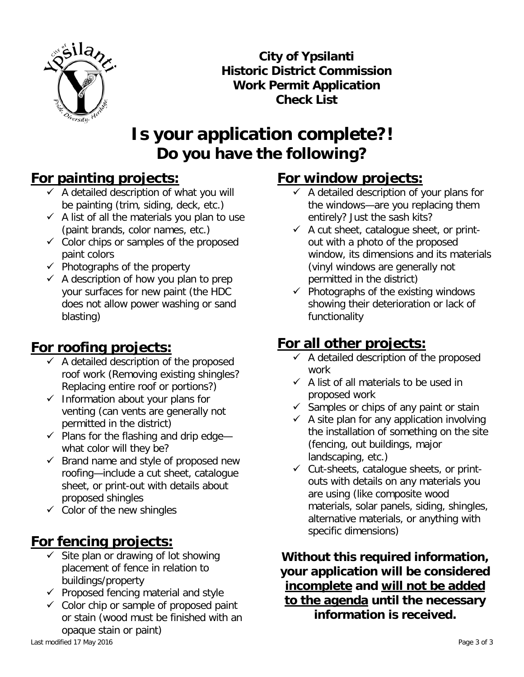

**City of Ypsilanti Historic District Commission Work Permit Application Check List**

# **Is your application complete?! Do you have the following?**

## **For painting projects:**

- $\overline{X}$  A detailed description of what you will be painting (trim, siding, deck, etc.)
- $\checkmark$  A list of all the materials you plan to use (paint brands, color names, etc.)
- $\checkmark$  Color chips or samples of the proposed paint colors
- $\checkmark$  Photographs of the property
- $\checkmark$  A description of how you plan to prep your surfaces for new paint (the HDC does not allow power washing or sand blasting)

## **For roofing projects:**

- $\checkmark$  A detailed description of the proposed roof work (Removing existing shingles? Replacing entire roof or portions?)
- $\checkmark$  Information about your plans for venting (can vents are generally not permitted in the district)
- $\checkmark$  Plans for the flashing and drip edge what color will they be?
- $\checkmark$  Brand name and style of proposed new roofing—include a cut sheet, catalogue sheet, or print-out with details about proposed shingles
- $\checkmark$  Color of the new shingles

## **For fencing projects:**

- $\checkmark$  Site plan or drawing of lot showing placement of fence in relation to buildings/property
- $\checkmark$  Proposed fencing material and style
- $\checkmark$  Color chip or sample of proposed paint or stain (wood must be finished with an opaque stain or paint)

# **For window projects:**

- $\checkmark$  A detailed description of your plans for the windows—are you replacing them entirely? Just the sash kits?
- $\checkmark$  A cut sheet, catalogue sheet, or printout with a photo of the proposed window, its dimensions and its materials (vinyl windows are generally not permitted in the district)
- $\checkmark$  Photographs of the existing windows showing their deterioration or lack of functionality

# **For all other projects:**

- $\checkmark$  A detailed description of the proposed work
- $\checkmark$  A list of all materials to be used in proposed work
- $\checkmark$  Samples or chips of any paint or stain
- $\checkmark$  A site plan for any application involving the installation of something on the site (fencing, out buildings, major landscaping, etc.)
- $\checkmark$  Cut-sheets, catalogue sheets, or printouts with details on any materials you are using (like composite wood materials, solar panels, siding, shingles, alternative materials, or anything with specific dimensions)

**Without this required information, your application will be considered incomplete and will not be added to the agenda until the necessary information is received.**